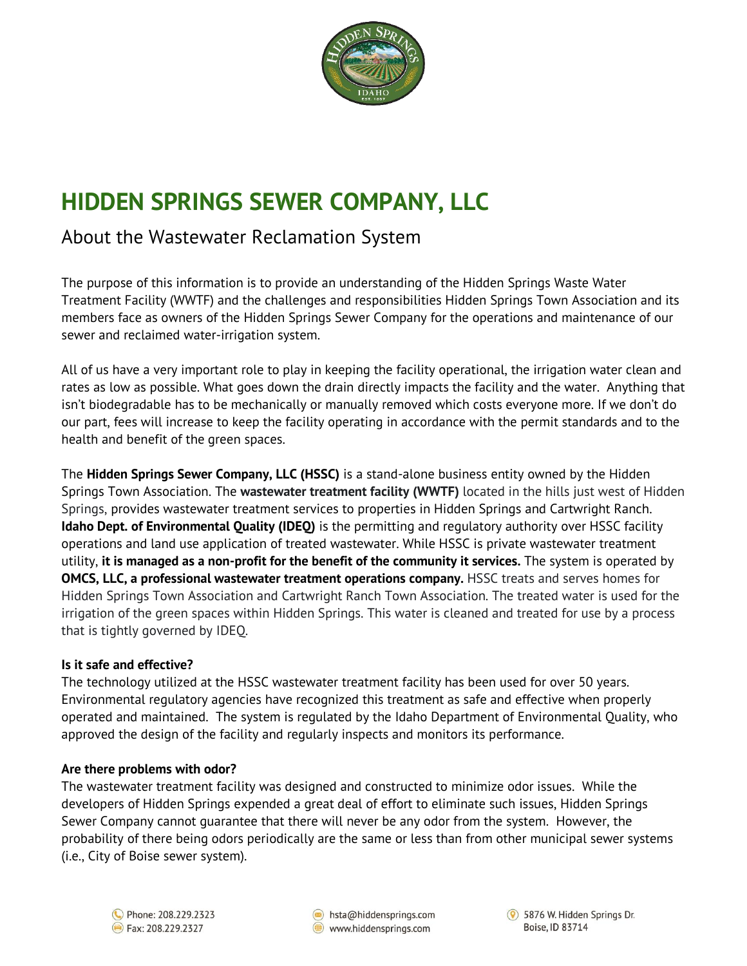

# **HIDDEN SPRINGS SEWER COMPANY, LLC**

## About the Wastewater Reclamation System

The purpose of this information is to provide an understanding of the Hidden Springs Waste Water Treatment Facility (WWTF) and the challenges and responsibilities Hidden Springs Town Association and its members face as owners of the Hidden Springs Sewer Company for the operations and maintenance of our sewer and reclaimed water-irrigation system.

All of us have a very important role to play in keeping the facility operational, the irrigation water clean and rates as low as possible. What goes down the drain directly impacts the facility and the water. Anything that isn't biodegradable has to be mechanically or manually removed which costs everyone more. If we don't do our part, fees will increase to keep the facility operating in accordance with the permit standards and to the health and benefit of the green spaces.

The **Hidden Springs Sewer Company, LLC (HSSC)** is a stand-alone business entity owned by the Hidden Springs Town Association. The **wastewater treatment facility (WWTF)** located in the hills just west of Hidden Springs, provides wastewater treatment services to properties in Hidden Springs and Cartwright Ranch. **Idaho Dept. of Environmental Quality (IDEQ)** is the permitting and regulatory authority over HSSC facility operations and land use application of treated wastewater. While HSSC is private wastewater treatment utility, **it is managed as a non-profit for the benefit of the community it services.** The system is operated by **OMCS, LLC, a professional wastewater treatment operations company.** HSSC treats and serves homes for Hidden Springs Town Association and Cartwright Ranch Town Association. The treated water is used for the irrigation of the green spaces within Hidden Springs. This water is cleaned and treated for use by a process that is tightly governed by IDEQ.

### **Is it safe and effective?**

The technology utilized at the HSSC wastewater treatment facility has been used for over 50 years. Environmental regulatory agencies have recognized this treatment as safe and effective when properly operated and maintained. The system is regulated by the Idaho Department of Environmental Quality, who approved the design of the facility and regularly inspects and monitors its performance.

#### **Are there problems with odor?**

The wastewater treatment facility was designed and constructed to minimize odor issues. While the developers of Hidden Springs expended a great deal of effort to eliminate such issues, Hidden Springs Sewer Company cannot guarantee that there will never be any odor from the system. However, the probability of there being odors periodically are the same or less than from other municipal sewer systems (i.e., City of Boise sewer system).



 $\circledcirc$  hsta@hiddensprings.com www.hiddensprings.com